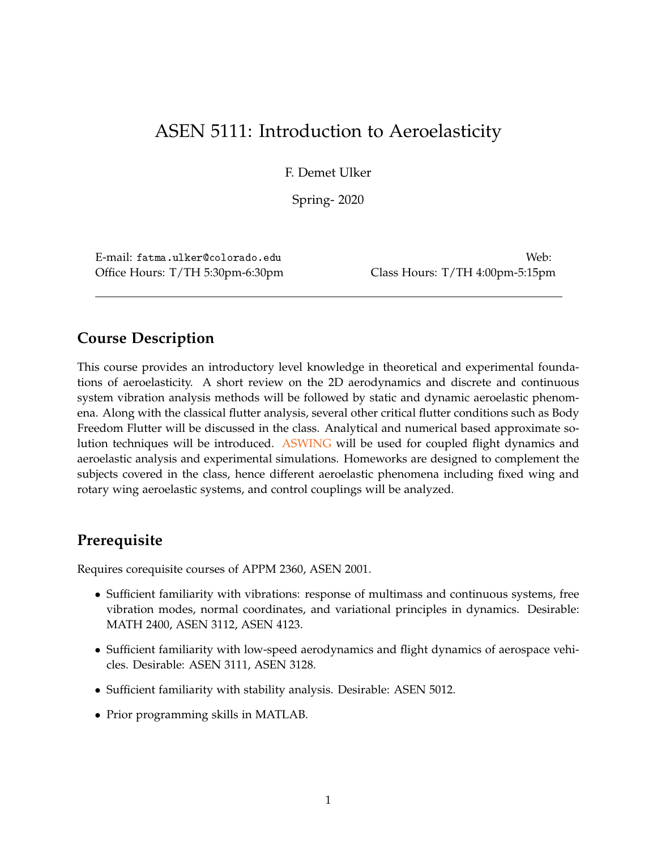# ASEN 5111: Introduction to Aeroelasticity

F. Demet Ulker

Spring- 2020

E-mail: fatma.ulker@colorado.edu Web: Office Hours: T/TH 5:30pm-6:30pm Class Hours: T/TH 4:00pm-5:15pm

# **Course Description**

This course provides an introductory level knowledge in theoretical and experimental foundations of aeroelasticity. A short review on the 2D aerodynamics and discrete and continuous system vibration analysis methods will be followed by static and dynamic aeroelastic phenomena. Along with the classical flutter analysis, several other critical flutter conditions such as Body Freedom Flutter will be discussed in the class. Analytical and numerical based approximate solution techniques will be introduced. [ASWING](http://web.mit.edu/drela/Public/web/aswing/) will be used for coupled flight dynamics and aeroelastic analysis and experimental simulations. Homeworks are designed to complement the subjects covered in the class, hence different aeroelastic phenomena including fixed wing and rotary wing aeroelastic systems, and control couplings will be analyzed.

# **Prerequisite**

Requires corequisite courses of APPM 2360, ASEN 2001.

- Sufficient familiarity with vibrations: response of multimass and continuous systems, free vibration modes, normal coordinates, and variational principles in dynamics. Desirable: MATH 2400, ASEN 3112, ASEN 4123.
- Sufficient familiarity with low-speed aerodynamics and flight dynamics of aerospace vehicles. Desirable: ASEN 3111, ASEN 3128.
- Sufficient familiarity with stability analysis. Desirable: ASEN 5012.
- Prior programming skills in MATLAB.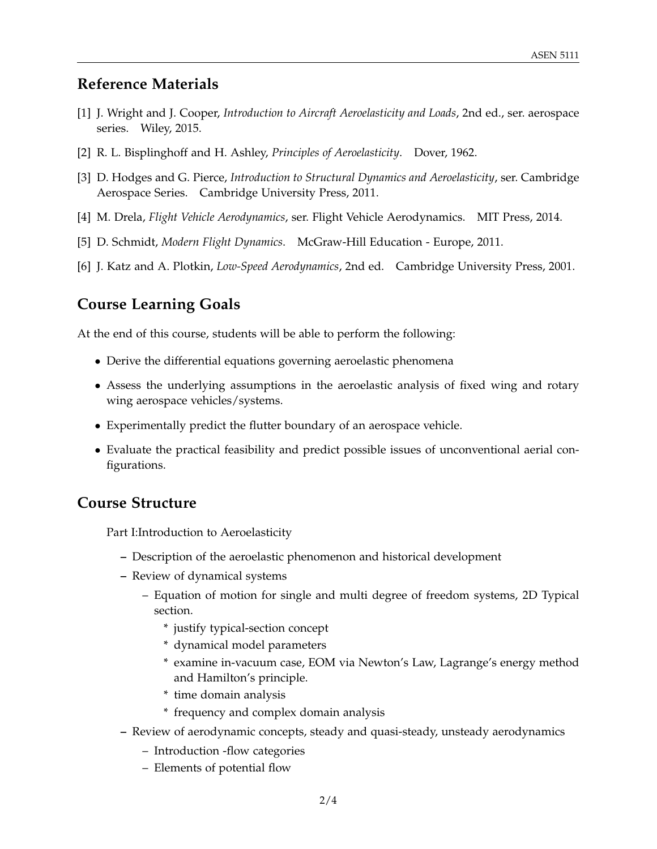## **Reference Materials**

- [1] J. Wright and J. Cooper, *Introduction to Aircraft Aeroelasticity and Loads*, 2nd ed., ser. aerospace series. Wiley, 2015.
- [2] R. L. Bisplinghoff and H. Ashley, *Principles of Aeroelasticity*. Dover, 1962.
- [3] D. Hodges and G. Pierce, *Introduction to Structural Dynamics and Aeroelasticity*, ser. Cambridge Aerospace Series. Cambridge University Press, 2011.
- [4] M. Drela, *Flight Vehicle Aerodynamics*, ser. Flight Vehicle Aerodynamics. MIT Press, 2014.
- [5] D. Schmidt, *Modern Flight Dynamics*. McGraw-Hill Education Europe, 2011.
- [6] J. Katz and A. Plotkin, *Low-Speed Aerodynamics*, 2nd ed. Cambridge University Press, 2001.

## **Course Learning Goals**

At the end of this course, students will be able to perform the following:

- Derive the differential equations governing aeroelastic phenomena
- Assess the underlying assumptions in the aeroelastic analysis of fixed wing and rotary wing aerospace vehicles/systems.
- Experimentally predict the flutter boundary of an aerospace vehicle.
- Evaluate the practical feasibility and predict possible issues of unconventional aerial configurations.

## **Course Structure**

Part I:Introduction to Aeroelasticity

- **–** Description of the aeroelastic phenomenon and historical development
- **–** Review of dynamical systems
	- Equation of motion for single and multi degree of freedom systems, 2D Typical section.
		- \* justify typical-section concept
		- \* dynamical model parameters
		- \* examine in-vacuum case, EOM via Newton's Law, Lagrange's energy method and Hamilton's principle.
		- \* time domain analysis
		- \* frequency and complex domain analysis
- **–** Review of aerodynamic concepts, steady and quasi-steady, unsteady aerodynamics
	- Introduction -flow categories
	- Elements of potential flow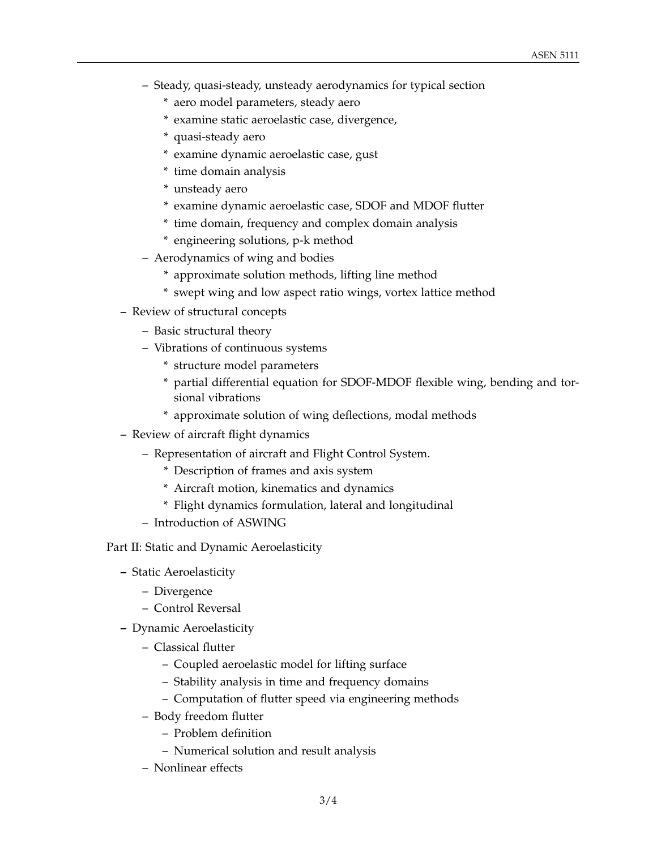- Steady, quasi-steady, unsteady aerodynamics for typical section
	- \* aero model parameters, steady aero
	- \* examine static aeroelastic case, divergence,
	- \* quasi-steady aero
	- \* examine dynamic aeroelastic case, gust
	- \* time domain analysis
	- \* unsteady aero
	- \* examine dynamic aeroelastic case, SDOF and MDOF flutter
	- \* time domain, frequency and complex domain analysis
	- \* engineering solutions, p-k method
- Aerodynamics of wing and bodies
	- \* approximate solution methods, lifting line method
	- \* swept wing and low aspect ratio wings, vortex lattice method
- **–** Review of structural concepts
	- Basic structural theory
	- Vibrations of continuous systems
		- \* structure model parameters
		- \* partial differential equation for SDOF-MDOF flexible wing, bending and torsional vibrations
		- \* approximate solution of wing deflections, modal methods
- **–** Review of aircraft flight dynamics
	- Representation of aircraft and Flight Control System.
		- \* Description of frames and axis system
		- \* Aircraft motion, kinematics and dynamics
		- \* Flight dynamics formulation, lateral and longitudinal
	- Introduction of ASWING

Part II: Static and Dynamic Aeroelasticity

- **–** Static Aeroelasticity
	- Divergence
	- Control Reversal
- **–** Dynamic Aeroelasticity
	- Classical flutter
		- Coupled aeroelastic model for lifting surface
		- Stability analysis in time and frequency domains
		- Computation of flutter speed via engineering methods
	- Body freedom flutter
		- Problem definition
		- Numerical solution and result analysis
	- Nonlinear effects